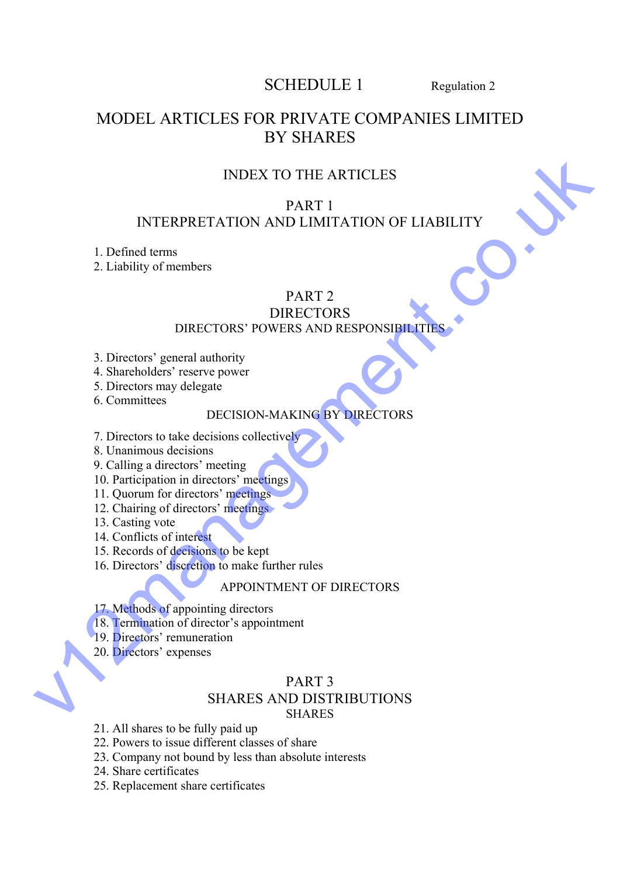### SCHEDULE 1 Regulation 2

# MODEL ARTICLES FOR PRIVATE COMPANIES LIMITED BY SHARES

### INDEX TO THE ARTICLES

# PART 1 INTERPRETATION AND LIMITATION OF LIABILITY VINDEX TO THE ARTICLES<br>
NART I<br>
1. Defined terms<br>
2. Liability of members<br>
2. Liability of members<br>
PART 2<br>
DIRECTORS<br>
2. Directors, "general outhority<br>
4. Survey by the CITORS<br>
4. Directors and the decisions collectively<br>

1. Defined terms

2. Liability of members

# PART 2

### DIRECTORS DIRECTORS' POWERS AND RESPONSIBILITIE

- 3. Directors' general authority
- 4. Shareholders' reserve power
- 5. Directors may delegate
- 6. Committees

### DECISION-MAKING BY DIRECTORS

- 7. Directors to take decisions collectively
- 8. Unanimous decisions
- 9. Calling a directors' meeting
- 10. Participation in directors' meetings
- 11. Quorum for directors' meetings
- 12. Chairing of directors' meetings
- 13. Casting vote
- 14. Conflicts of interest
- 15. Records of decisions to be kept
- 16. Directors' discretion to make further rules

### APPOINTMENT OF DIRECTORS

- 17. Methods of appointing directors
- 18. Termination of director's appointment
- 19. Directors' remuneration
- 20. Directors' expenses

# PART 3

### SHARES AND DISTRIBUTIONS **SHARES**

- 21. All shares to be fully paid up
- 22. Powers to issue different classes of share
- 23. Company not bound by less than absolute interests
- 24. Share certificates
- 25. Replacement share certificates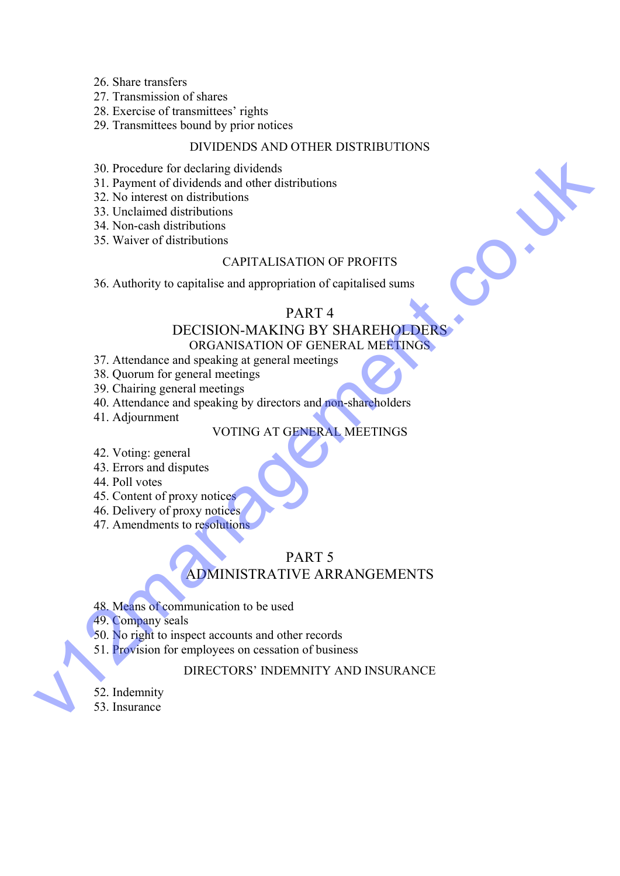- 26. Share transfers
- 27. Transmission of shares
- 28. Exercise of transmittees' rights
- 29. Transmittees bound by prior notices

### DIVIDENDS AND OTHER DISTRIBUTIONS

- 30. Procedure for declaring dividends
- 31. Payment of dividends and other distributions
- 32. No interest on distributions
- 33. Unclaimed distributions
- 34. Non-cash distributions
- 35. Waiver of distributions

### CAPITALISATION OF PROFITS

36. Authority to capitalise and appropriation of capitalised sums

### PART 4

# DECISION-MAKING BY SHAREHOLDERS 30. Procedure for declaring dividends<br>
22 No interest on distributions<br>
22 No interest on distributions<br>
23 No interest on distributions<br>
33 Unchained distributions<br>
34 Non-axes distributions<br>
43 Non-axes distributions<br>
CA

### ORGANISATION OF GENERAL MEETINGS

- 37. Attendance and speaking at general meetings
- 38. Quorum for general meetings
- 39. Chairing general meetings
- 40. Attendance and speaking by directors and non-shareholders
- 41. Adjournment

### VOTING AT GENERAL MEETINGS

- 42. Voting: general
- 43. Errors and disputes
- 44. Poll votes
- 45. Content of proxy notices
- 46. Delivery of proxy notices
- 47. Amendments to resolutions

# PART 5

### ADMINISTRATIVE ARRANGEMENTS

- 48. Means of communication to be used
- 49. Company seals
- 50. No right to inspect accounts and other records
- 51. Provision for employees on cessation of business

### DIRECTORS' INDEMNITY AND INSURANCE

- 52. Indemnity
- 53. Insurance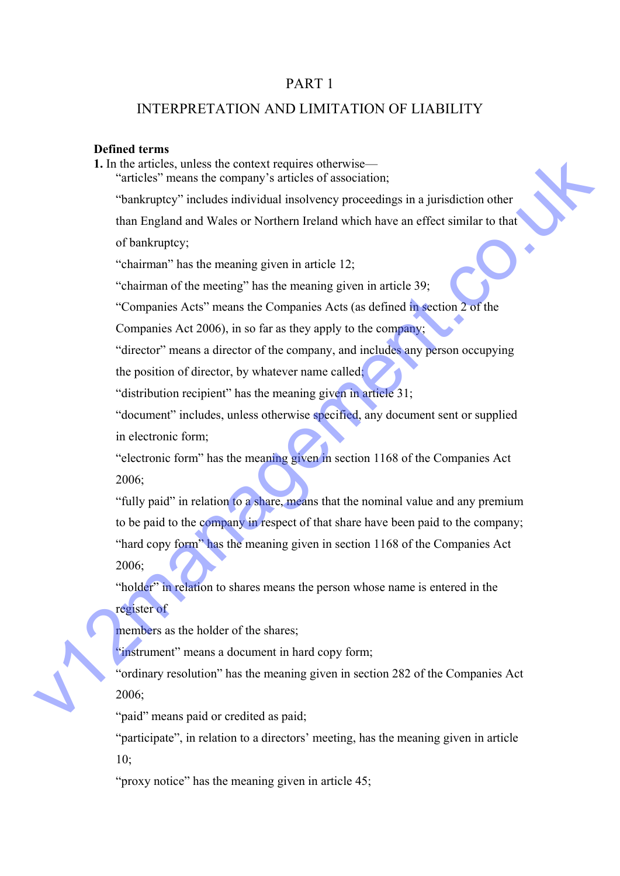### PART 1

### INTERPRETATION AND LIMITATION OF LIABILITY

### Defined terms

1. In the articles, unless the context requires otherwise— "articles" means the company's articles of association;

"bankruptcy" includes individual insolvency proceedings in a jurisdiction other than England and Wales or Northern Ireland which have an effect similar to that

of bankruptcy;

"chairman" has the meaning given in article 12;

"chairman of the meeting" has the meaning given in article 39;

"Companies Acts" means the Companies Acts (as defined in section 2 of the

Companies Act 2006), in so far as they apply to the company;

"director" means a director of the company, and includes any person occupying the position of director, by whatever name called;

"distribution recipient" has the meaning given in article 31;

"document" includes, unless otherwise specified, any document sent or supplied in electronic form;

"electronic form" has the meaning given in section 1168 of the Companies Act 2006;

"fully paid" in relation to a share, means that the nominal value and any premium to be paid to the company in respect of that share have been paid to the company; "hard copy form" has the meaning given in section 1168 of the Companies Act 2006; **Example a track of the control of the states of denoting the control of the company is and the company is and the company is and the state of the analysis of the metallic of the denoting the metallic of the denoting time** 

"holder" in relation to shares means the person whose name is entered in the register of

members as the holder of the shares;

"instrument" means a document in hard copy form;

"ordinary resolution" has the meaning given in section 282 of the Companies Act 2006;

"paid" means paid or credited as paid;

"participate", in relation to a directors' meeting, has the meaning given in article 10;

"proxy notice" has the meaning given in article 45;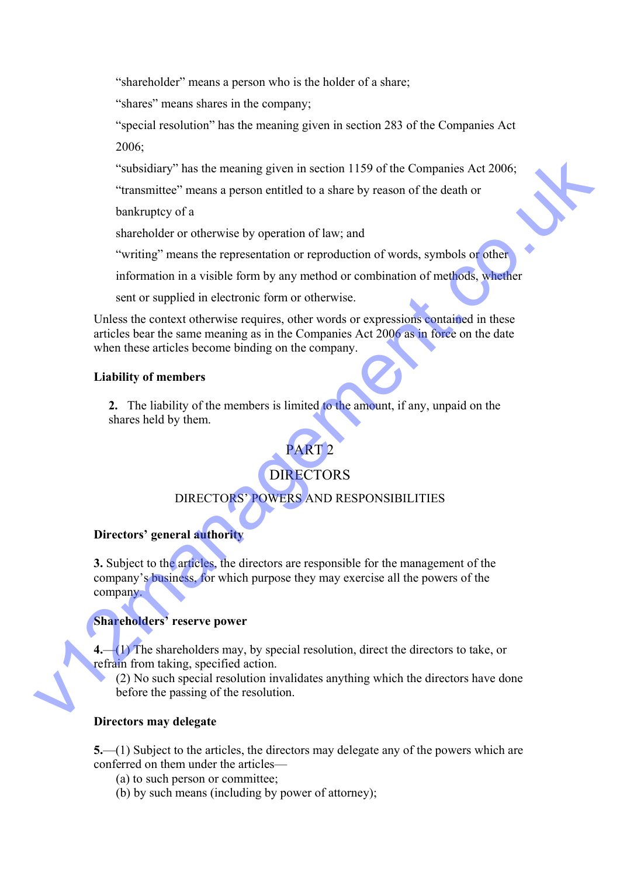"shareholder" means a person who is the holder of a share;

"shares" means shares in the company;

"special resolution" has the meaning given in section 283 of the Companies Act 2006;

"subsidiary" has the meaning given in section 1159 of the Companies Act 2006;

"transmittee" means a person entitled to a share by reason of the death or

bankruptcy of a

shareholder or otherwise by operation of law; and

"writing" means the representation or reproduction of words, symbols or other

information in a visible form by any method or combination of methods, whether

sent or supplied in electronic form or otherwise.

Unless the context otherwise requires, other words or expressions contained in these articles bear the same meaning as in the Companies Act 2006 as in force on the date when these articles become binding on the company. valued impair and the meaning given in section 1159 of the Companies Act 2006;<br>
"transmittec" means a person entitled to a share by reason of the death or<br>
banknethelder or otherwise by operation of raw, and<br>
"writing" mea

### Liability of members

2. The liability of the members is limited to the amount, if any, unpaid on the shares held by them.

# PART 2 **DIRECTORS**

# DIRECTORS' POWERS AND RESPONSIBILITIES

### Directors' general authority

3. Subject to the articles, the directors are responsible for the management of the company's business, for which purpose they may exercise all the powers of the company.

### Shareholders' reserve power

 $4 - (1)$  The shareholders may, by special resolution, direct the directors to take, or refrain from taking, specified action.

(2) No such special resolution invalidates anything which the directors have done before the passing of the resolution.

### Directors may delegate

5.—(1) Subject to the articles, the directors may delegate any of the powers which are conferred on them under the articles—

(a) to such person or committee;

(b) by such means (including by power of attorney);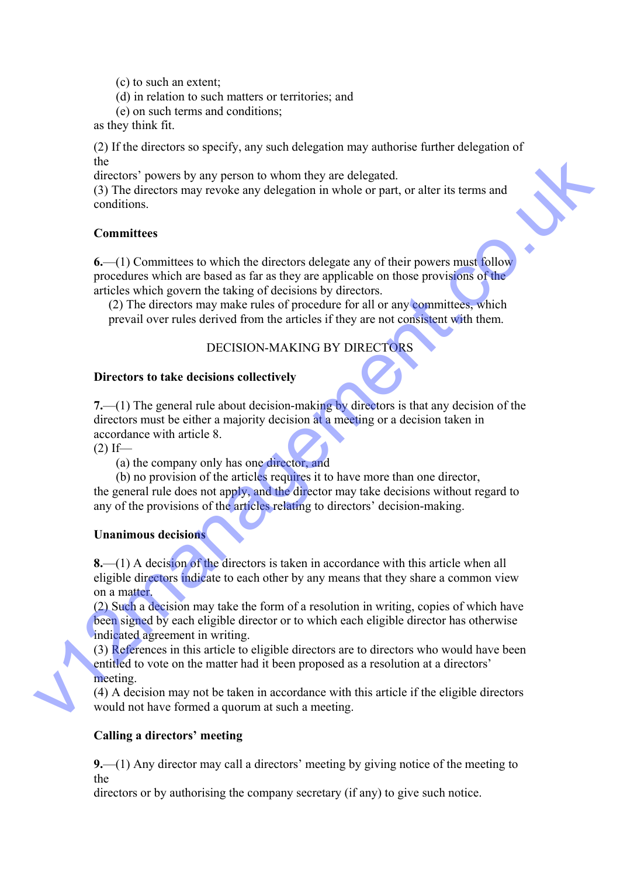(c) to such an extent;

(d) in relation to such matters or territories; and

(e) on such terms and conditions;

as they think fit.

(2) If the directors so specify, any such delegation may authorise further delegation of the

directors' powers by any person to whom they are delegated.

(3) The directors may revoke any delegation in whole or part, or alter its terms and conditions.

### **Committees**

6.—(1) Committees to which the directors delegate any of their powers must follow procedures which are based as far as they are applicable on those provisions of the articles which govern the taking of decisions by directors.

(2) The directors may make rules of procedure for all or any committees, which prevail over rules derived from the articles if they are not consistent with them.

### DECISION-MAKING BY DIRECTORS

### Directors to take decisions collectively

7.—(1) The general rule about decision-making by directors is that any decision of the directors must be either a majority decision at a meeting or a decision taken in accordance with article 8. The directors' powers by any person to whom they are delegated.<br>
directors' powers by any person to whom they are delegated.<br>
(3) The directors may revolec any delegation in whole or part, or alter its terms and<br>
conditio

 $(2)$  If—

(a) the company only has one director, and

(b) no provision of the articles requires it to have more than one director, the general rule does not apply, and the director may take decisions without regard to any of the provisions of the articles relating to directors' decision-making.

### Unanimous decisions

8.—(1) A decision of the directors is taken in accordance with this article when all eligible directors indicate to each other by any means that they share a common view on a matter.

(2) Such a decision may take the form of a resolution in writing, copies of which have been signed by each eligible director or to which each eligible director has otherwise indicated agreement in writing.

(3) References in this article to eligible directors are to directors who would have been entitled to vote on the matter had it been proposed as a resolution at a directors' meeting.

(4) A decision may not be taken in accordance with this article if the eligible directors would not have formed a quorum at such a meeting.

### Calling a directors' meeting

9.—(1) Any director may call a directors' meeting by giving notice of the meeting to the

directors or by authorising the company secretary (if any) to give such notice.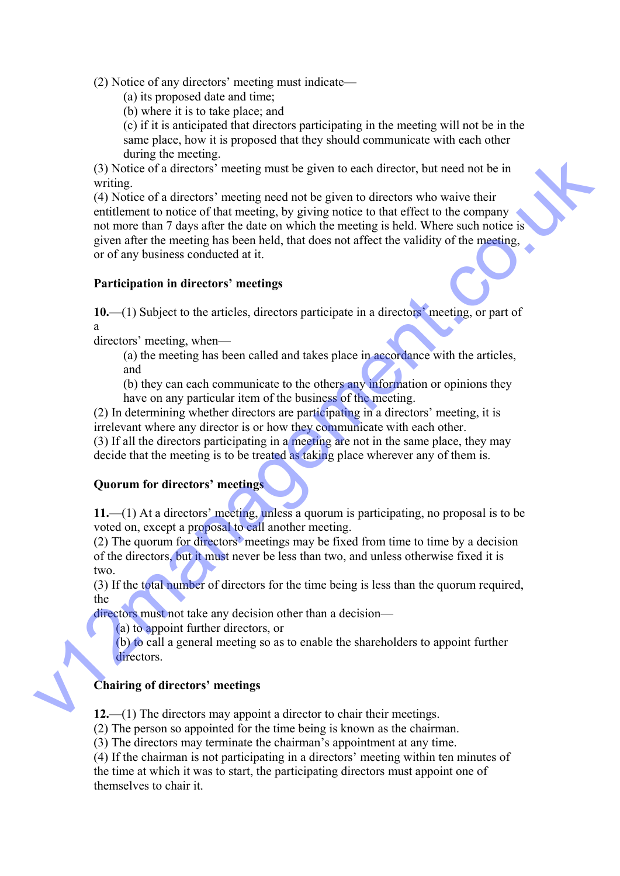(2) Notice of any directors' meeting must indicate—

(a) its proposed date and time;

(b) where it is to take place; and

(c) if it is anticipated that directors participating in the meeting will not be in the same place, how it is proposed that they should communicate with each other during the meeting.

(3) Notice of a directors' meeting must be given to each director, but need not be in writing.

(4) Notice of a directors' meeting need not be given to directors who waive their entitlement to notice of that meeting, by giving notice to that effect to the company not more than 7 days after the date on which the meeting is held. Where such notice is given after the meeting has been held, that does not affect the validity of the meeting, or of any business conducted at it. (f) the method of the method is the method of the method of the method of the method of the method of the state of the state of the state of the state of the state of the state of the state of the state of the state of th

### Participation in directors' meetings

10.—(1) Subject to the articles, directors participate in a directors' meeting, or part of a

directors' meeting, when—

(a) the meeting has been called and takes place in accordance with the articles, and

(b) they can each communicate to the others any information or opinions they have on any particular item of the business of the meeting.

(2) In determining whether directors are participating in a directors' meeting, it is irrelevant where any director is or how they communicate with each other.

(3) If all the directors participating in a meeting are not in the same place, they may decide that the meeting is to be treated as taking place wherever any of them is.

### Quorum for directors' meetings

11.—(1) At a directors' meeting, unless a quorum is participating, no proposal is to be voted on, except a proposal to call another meeting.

(2) The quorum for directors' meetings may be fixed from time to time by a decision of the directors, but it must never be less than two, and unless otherwise fixed it is two.

(3) If the total number of directors for the time being is less than the quorum required, the

directors must not take any decision other than a decision—

(a) to appoint further directors, or

(b) to call a general meeting so as to enable the shareholders to appoint further directors.

### Chairing of directors' meetings

12.—(1) The directors may appoint a director to chair their meetings.

(2) The person so appointed for the time being is known as the chairman.

(3) The directors may terminate the chairman's appointment at any time.

(4) If the chairman is not participating in a directors' meeting within ten minutes of the time at which it was to start, the participating directors must appoint one of themselves to chair it.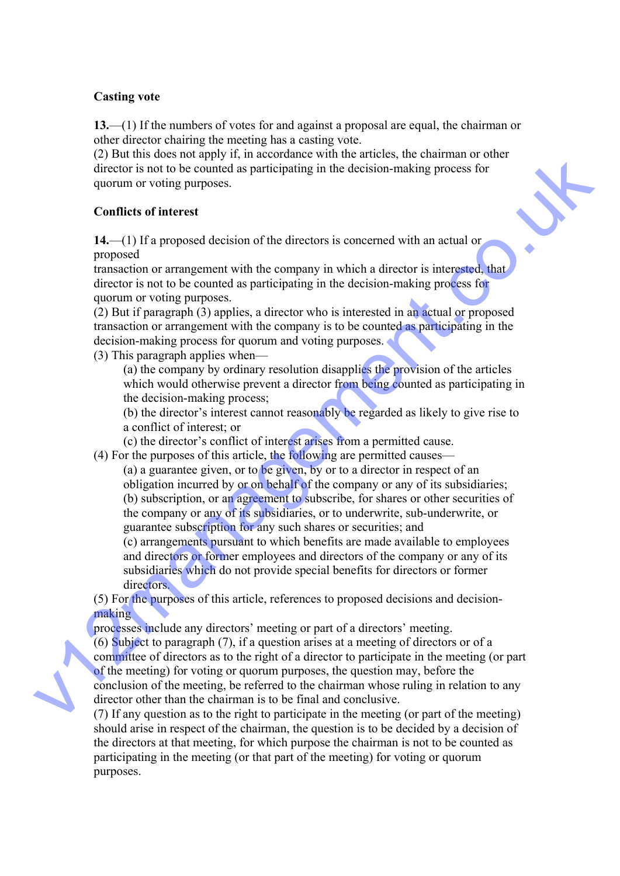### Casting vote

13.—(1) If the numbers of votes for and against a proposal are equal, the chairman or other director chairing the meeting has a casting vote.

(2) But this does not apply if, in accordance with the articles, the chairman or other director is not to be counted as participating in the decision-making process for quorum or voting purposes.

### Conflicts of interest

14.—(1) If a proposed decision of the directors is concerned with an actual or proposed

transaction or arrangement with the company in which a director is interested, that director is not to be counted as participating in the decision-making process for quorum or voting purposes.

(2) But if paragraph (3) applies, a director who is interested in an actual or proposed transaction or arrangement with the company is to be counted as participating in the decision-making process for quorum and voting purposes.

(3) This paragraph applies when—

(a) the company by ordinary resolution disapplies the provision of the articles which would otherwise prevent a director from being counted as participating in the decision-making process;

(b) the director's interest cannot reasonably be regarded as likely to give rise to a conflict of interest; or

(c) the director's conflict of interest arises from a permitted cause.

(4) For the purposes of this article, the following are permitted causes—

(a) a guarantee given, or to be given, by or to a director in respect of an obligation incurred by or on behalf of the company or any of its subsidiaries; (b) subscription, or an agreement to subscribe, for shares or other securities of the company or any of its subsidiaries, or to underwrite, sub-underwrite, or guarantee subscription for any such shares or securities; and

(c) arrangements pursuant to which benefits are made available to employees and directors or former employees and directors of the company or any of its subsidiaries which do not provide special benefits for directors or former directors.

(5) For the purposes of this article, references to proposed decisions and decisionmaking

processes include any directors' meeting or part of a directors' meeting.

(6) Subject to paragraph (7), if a question arises at a meeting of directors or of a committee of directors as to the right of a director to participate in the meeting (or part of the meeting) for voting or quorum purposes, the question may, before the conclusion of the meeting, be referred to the chairman whose ruling in relation to any director other than the chairman is to be final and conclusive. (2) But this does not apply it, m according with the article, the chairman or obting the disconsistent of the control of the control of the control of the control of the control of the control of the control of the contro

(7) If any question as to the right to participate in the meeting (or part of the meeting) should arise in respect of the chairman, the question is to be decided by a decision of the directors at that meeting, for which purpose the chairman is not to be counted as participating in the meeting (or that part of the meeting) for voting or quorum purposes.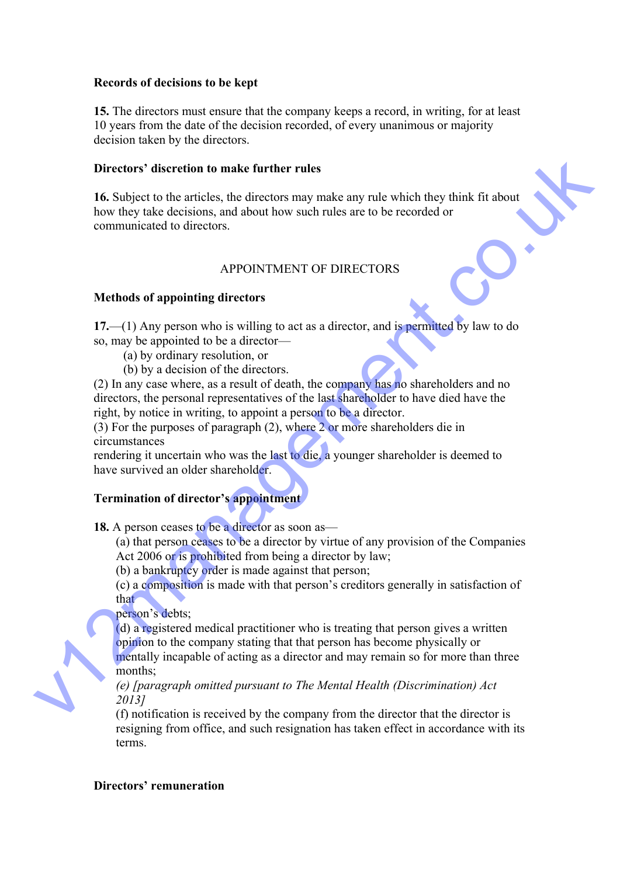### Records of decisions to be kept

15. The directors must ensure that the company keeps a record, in writing, for at least 10 years from the date of the decision recorded, of every unanimous or majority decision taken by the directors.

### Directors' discretion to make further rules

16. Subject to the articles, the directors may make any rule which they think fit about how they take decisions, and about how such rules are to be recorded or communicated to directors.

### APPOINTMENT OF DIRECTORS

### Methods of appointing directors

 $17.$ —(1) Any person who is willing to act as a director, and is permitted by law to do so, may be appointed to be a director—

- (a) by ordinary resolution, or
- (b) by a decision of the directors.

(2) In any case where, as a result of death, the company has no shareholders and no directors, the personal representatives of the last shareholder to have died have the right, by notice in writing, to appoint a person to be a director.

(3) For the purposes of paragraph (2), where 2 or more shareholders die in circumstances

rendering it uncertain who was the last to die, a younger shareholder is deemed to have survived an older shareholder.

### Termination of director's appointment

18. A person ceases to be a director as soon as—

(a) that person ceases to be a director by virtue of any provision of the Companies Act 2006 or is prohibited from being a director by law;

(b) a bankruptcy order is made against that person;

(c) a composition is made with that person's creditors generally in satisfaction of that

person's debts;

(d) a registered medical practitioner who is treating that person gives a written opinion to the company stating that that person has become physically or mentally incapable of acting as a director and may remain so for more than three months; Directors' discretion to make further rules<br>
16. Subject to the articles, the directors may make any rule which they think fit about<br>
how they take decisions, and about how such rules are to be recorded or<br>
communicated t

### (e) [paragraph omitted pursuant to The Mental Health (Discrimination) Act 2013]

(f) notification is received by the company from the director that the director is resigning from office, and such resignation has taken effect in accordance with its terms.

### Directors' remuneration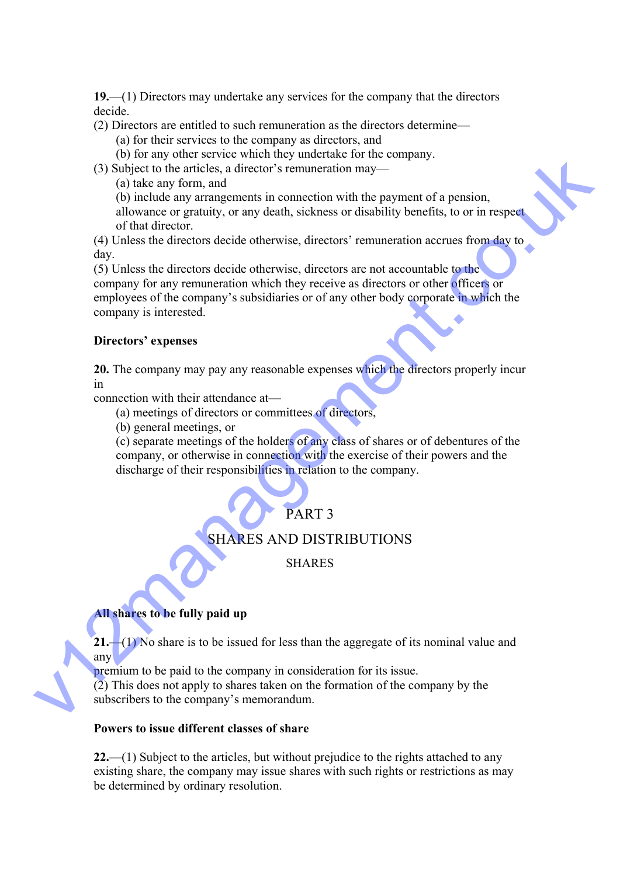19.—(1) Directors may undertake any services for the company that the directors decide.

(2) Directors are entitled to such remuneration as the directors determine—

(a) for their services to the company as directors, and

(b) for any other service which they undertake for the company.

(3) Subject to the articles, a director's remuneration may—

(a) take any form, and

(b) include any arrangements in connection with the payment of a pension, allowance or gratuity, or any death, sickness or disability benefits, to or in respect of that director.

(4) Unless the directors decide otherwise, directors' remuneration accrues from day to day.

(5) Unless the directors decide otherwise, directors are not accountable to the company for any remuneration which they receive as directors or other officers or employees of the company's subsidiaries or of any other body corporate in which the company is interested. (b) for any other service which they undertake for the company.<br>
(c) Subject to the articles, a director's remuneration may-<br>
(c) include any arrangements in connection with the payment of a pension,<br>
(b) include any arran

### Directors' expenses

20. The company may pay any reasonable expenses which the directors properly incur in

connection with their attendance at—

(a) meetings of directors or committees of directors,

(b) general meetings, or

(c) separate meetings of the holders of any class of shares or of debentures of the company, or otherwise in connection with the exercise of their powers and the discharge of their responsibilities in relation to the company.

# PART 3

### SHARES AND DISTRIBUTIONS

SHARES

### All shares to be fully paid up

21.—(1) No share is to be issued for less than the aggregate of its nominal value and any

premium to be paid to the company in consideration for its issue.

(2) This does not apply to shares taken on the formation of the company by the subscribers to the company's memorandum.

### Powers to issue different classes of share

22.—(1) Subject to the articles, but without prejudice to the rights attached to any existing share, the company may issue shares with such rights or restrictions as may be determined by ordinary resolution.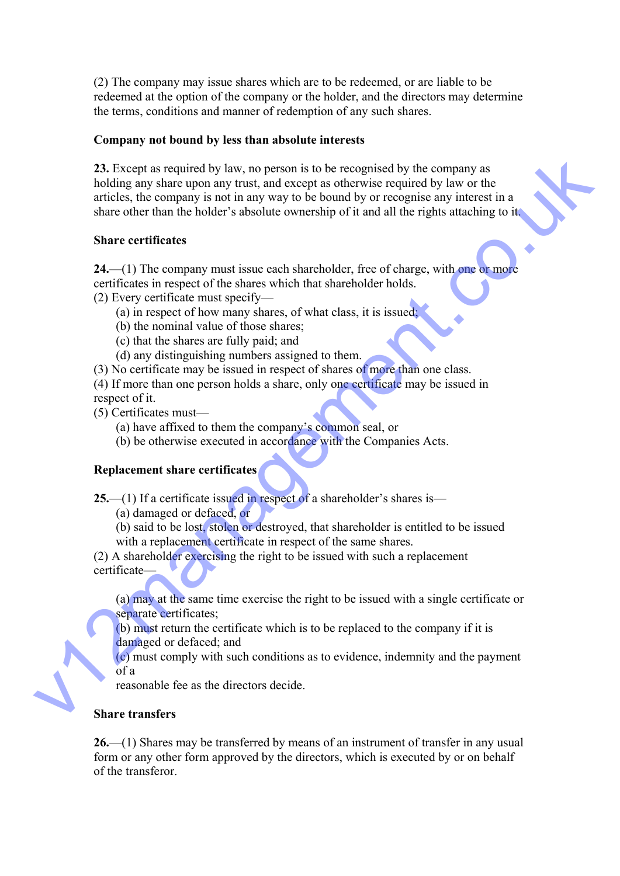(2) The company may issue shares which are to be redeemed, or are liable to be redeemed at the option of the company or the holder, and the directors may determine the terms, conditions and manner of redemption of any such shares.

### Company not bound by less than absolute interests

23. Except as required by law, no person is to be recognised by the company as holding any share upon any trust, and except as otherwise required by law or the articles, the company is not in any way to be bound by or recognise any interest in a share other than the holder's absolute ownership of it and all the rights attaching to it. 23. Except as required by law, no person is to be recognised by the company as<br>helding any share upon my instal and except as of<br>between equinomy is not imaging way to be bound by arr recognise any interest in a<br>share oth

### Share certificates

24.—(1) The company must issue each shareholder, free of charge, with one or more certificates in respect of the shares which that shareholder holds.

(2) Every certificate must specify—

- (a) in respect of how many shares, of what class, it is issued;
- (b) the nominal value of those shares;
- (c) that the shares are fully paid; and
- (d) any distinguishing numbers assigned to them.
- (3) No certificate may be issued in respect of shares of more than one class.
- (4) If more than one person holds a share, only one certificate may be issued in respect of it.
- (5) Certificates must—
	- (a) have affixed to them the company's common seal, or
	- (b) be otherwise executed in accordance with the Companies Acts.

### Replacement share certificates

25.—(1) If a certificate issued in respect of a shareholder's shares is—

(a) damaged or defaced, or

(b) said to be lost, stolen or destroyed, that shareholder is entitled to be issued with a replacement certificate in respect of the same shares.

(2) A shareholder exercising the right to be issued with such a replacement certificate—

(a) may at the same time exercise the right to be issued with a single certificate or separate certificates;

(b) must return the certificate which is to be replaced to the company if it is damaged or defaced; and

(c) must comply with such conditions as to evidence, indemnity and the payment of a

reasonable fee as the directors decide.

### Share transfers

26.—(1) Shares may be transferred by means of an instrument of transfer in any usual form or any other form approved by the directors, which is executed by or on behalf of the transferor.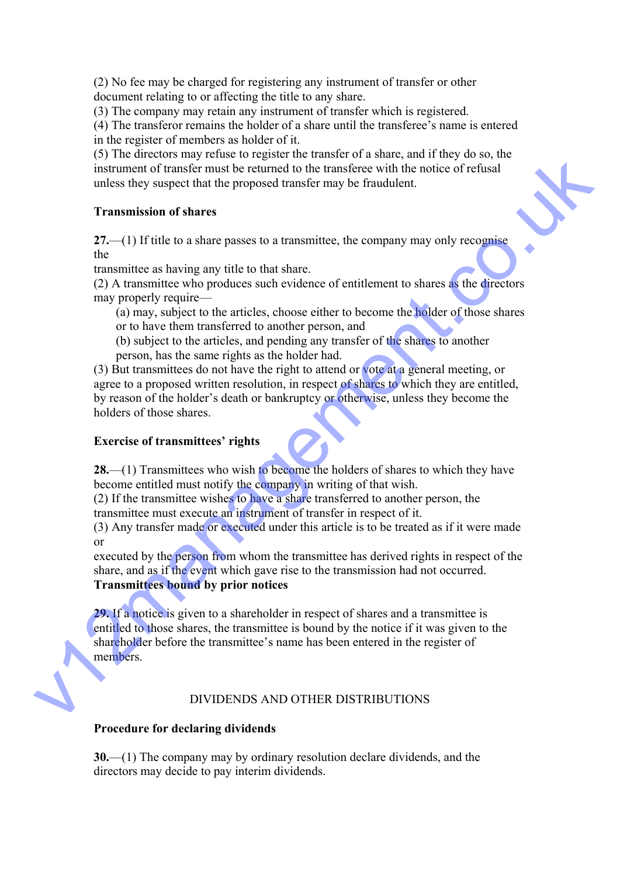(2) No fee may be charged for registering any instrument of transfer or other document relating to or affecting the title to any share.

(3) The company may retain any instrument of transfer which is registered.

(4) The transferor remains the holder of a share until the transferee's name is entered in the register of members as holder of it.

(5) The directors may refuse to register the transfer of a share, and if they do so, the instrument of transfer must be returned to the transferee with the notice of refusal unless they suspect that the proposed transfer may be fraudulent.

### Transmission of shares

 $27.$ —(1) If title to a share passes to a transmittee, the company may only recognise the

transmittee as having any title to that share.

(2) A transmittee who produces such evidence of entitlement to shares as the directors may properly require—

(a) may, subject to the articles, choose either to become the holder of those shares or to have them transferred to another person, and

(b) subject to the articles, and pending any transfer of the shares to another person, has the same rights as the holder had.

(3) But transmittees do not have the right to attend or vote at a general meeting, or agree to a proposed written resolution, in respect of shares to which they are entitled, by reason of the holder's death or bankruptcy or otherwise, unless they become the holders of those shares. (5) The directors may refinies to register the rransfer of a share, and if they do so, the<br>
instrument of massler must be returned to the transferes with the notice of refusal<br>
unless they surport that the proposed transf

### Exercise of transmittees' rights

28.—(1) Transmittees who wish to become the holders of shares to which they have become entitled must notify the company in writing of that wish.

(2) If the transmittee wishes to have a share transferred to another person, the transmittee must execute an instrument of transfer in respect of it.

(3) Any transfer made or executed under this article is to be treated as if it were made or

executed by the person from whom the transmittee has derived rights in respect of the share, and as if the event which gave rise to the transmission had not occurred. Transmittees bound by prior notices

29. If a notice is given to a shareholder in respect of shares and a transmittee is entitled to those shares, the transmittee is bound by the notice if it was given to the shareholder before the transmittee's name has been entered in the register of members.

### DIVIDENDS AND OTHER DISTRIBUTIONS

### Procedure for declaring dividends

30.—(1) The company may by ordinary resolution declare dividends, and the directors may decide to pay interim dividends.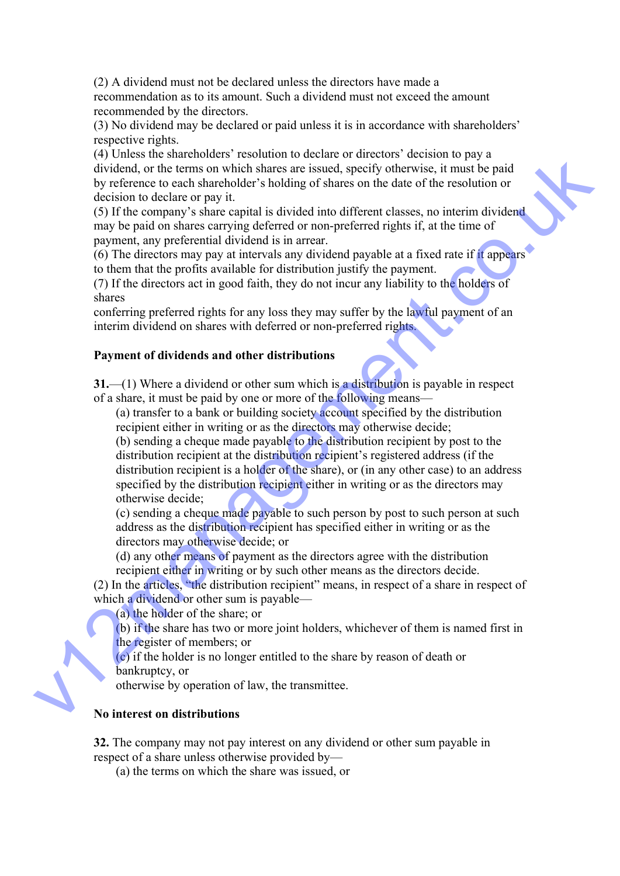(2) A dividend must not be declared unless the directors have made a recommendation as to its amount. Such a dividend must not exceed the amount recommended by the directors.

(3) No dividend may be declared or paid unless it is in accordance with shareholders' respective rights.

(4) Unless the shareholders' resolution to declare or directors' decision to pay a dividend, or the terms on which shares are issued, specify otherwise, it must be paid by reference to each shareholder's holding of shares on the date of the resolution or decision to declare or pay it.

(5) If the company's share capital is divided into different classes, no interim dividend may be paid on shares carrying deferred or non-preferred rights if, at the time of payment, any preferential dividend is in arrear.

(6) The directors may pay at intervals any dividend payable at a fixed rate if it appears to them that the profits available for distribution justify the payment.

(7) If the directors act in good faith, they do not incur any liability to the holders of shares

conferring preferred rights for any loss they may suffer by the lawful payment of an interim dividend on shares with deferred or non-preferred rights.

### Payment of dividends and other distributions

 $31$ .—(1) Where a dividend or other sum which is a distribution is payable in respect of a share, it must be paid by one or more of the following means—

(a) transfer to a bank or building society account specified by the distribution recipient either in writing or as the directors may otherwise decide;

(b) sending a cheque made payable to the distribution recipient by post to the distribution recipient at the distribution recipient's registered address (if the distribution recipient is a holder of the share), or (in any other case) to an address specified by the distribution recipient either in writing or as the directors may otherwise decide; (4) Onlies this shortchlocker resolution to decision or denotes decision to pay a<br>dividend, or the terms on which shares are issued, specify otherwise, it must be paid<br>by reference to each shareholder's holding of shares

(c) sending a cheque made payable to such person by post to such person at such address as the distribution recipient has specified either in writing or as the directors may otherwise decide; or

(d) any other means of payment as the directors agree with the distribution recipient either in writing or by such other means as the directors decide.

(2) In the articles, "the distribution recipient" means, in respect of a share in respect of which a dividend or other sum is payable—

(a) the holder of the share; or

(b) if the share has two or more joint holders, whichever of them is named first in the register of members; or

(c) if the holder is no longer entitled to the share by reason of death or bankruptcy, or

otherwise by operation of law, the transmittee.

### No interest on distributions

32. The company may not pay interest on any dividend or other sum payable in respect of a share unless otherwise provided by—

(a) the terms on which the share was issued, or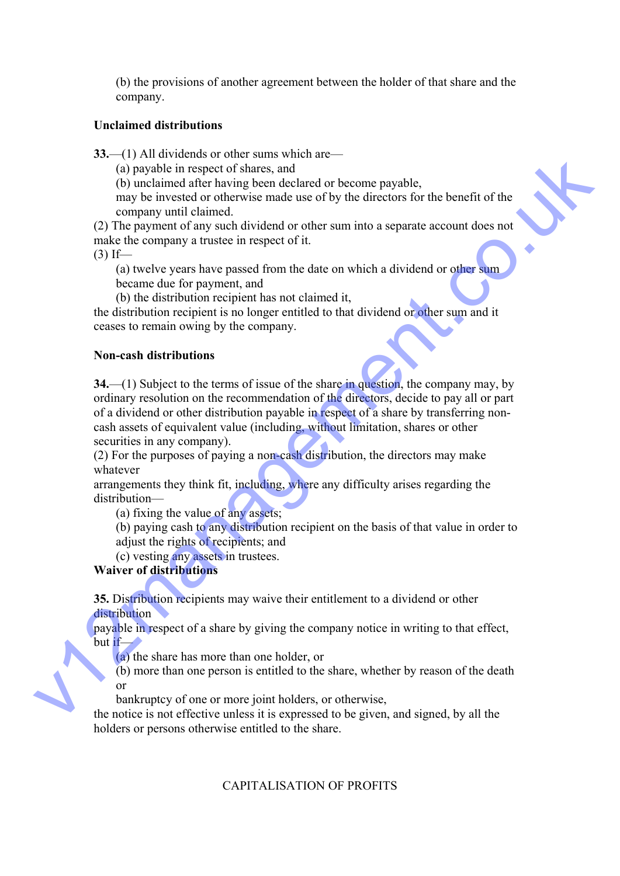(b) the provisions of another agreement between the holder of that share and the company.

### Unclaimed distributions

33.—(1) All dividends or other sums which are—

(a) payable in respect of shares, and

(b) unclaimed after having been declared or become payable,

may be invested or otherwise made use of by the directors for the benefit of the company until claimed.

(2) The payment of any such dividend or other sum into a separate account does not make the company a trustee in respect of it.

 $(3)$  If—

(a) twelve years have passed from the date on which a dividend or other sum became due for payment, and

(b) the distribution recipient has not claimed it,

the distribution recipient is no longer entitled to that dividend or other sum and it ceases to remain owing by the company.

### Non-cash distributions

34.—(1) Subject to the terms of issue of the share in question, the company may, by ordinary resolution on the recommendation of the directors, decide to pay all or part of a dividend or other distribution payable in respect of a share by transferring noncash assets of equivalent value (including, without limitation, shares or other securities in any company). 33. (1) All divided or order sums which are<br>
(b) myable in respect of shares, and<br>
(b) myable in respect of shares, and<br>
(b) we investigal condensing the dischedual or coherent payable,<br>
may be investigal or otherwise mad

(2) For the purposes of paying a non-cash distribution, the directors may make whatever

arrangements they think fit, including, where any difficulty arises regarding the distribution—

(a) fixing the value of any assets;

(b) paying cash to any distribution recipient on the basis of that value in order to adjust the rights of recipients; and

(c) vesting any assets in trustees.

### Waiver of distributions

35. Distribution recipients may waive their entitlement to a dividend or other distribution

payable in respect of a share by giving the company notice in writing to that effect, but if—

(a) the share has more than one holder, or

(b) more than one person is entitled to the share, whether by reason of the death or

bankruptcy of one or more joint holders, or otherwise,

the notice is not effective unless it is expressed to be given, and signed, by all the holders or persons otherwise entitled to the share.

### CAPITALISATION OF PROFITS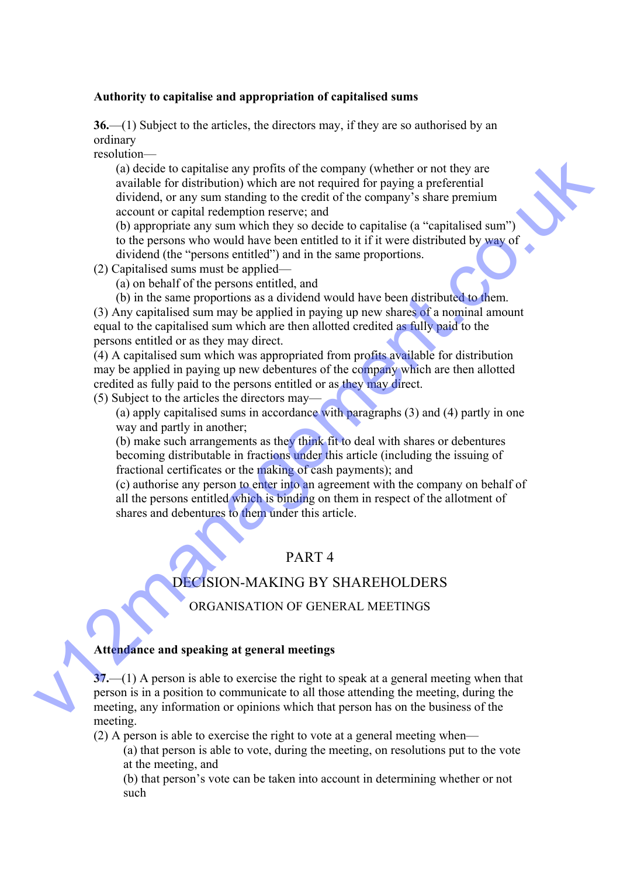### Authority to capitalise and appropriation of capitalised sums

36.—(1) Subject to the articles, the directors may, if they are so authorised by an ordinary

resolution—

(a) decide to capitalise any profits of the company (whether or not they are available for distribution) which are not required for paying a preferential dividend, or any sum standing to the credit of the company's share premium account or capital redemption reserve; and

(b) appropriate any sum which they so decide to capitalise (a "capitalised sum") to the persons who would have been entitled to it if it were distributed by way of dividend (the "persons entitled") and in the same proportions.

(2) Capitalised sums must be applied—

(a) on behalf of the persons entitled, and

(b) in the same proportions as a dividend would have been distributed to them. (3) Any capitalised sum may be applied in paying up new shares of a nominal amount equal to the capitalised sum which are then allotted credited as fully paid to the persons entitled or as they may direct. variables for distribution) which are not required for paying a preference in the company (whether or not they are available for distribution) which are not required for paying a preferencial<br>dividend, or any sum standing

(4) A capitalised sum which was appropriated from profits available for distribution may be applied in paying up new debentures of the company which are then allotted credited as fully paid to the persons entitled or as they may direct.

(5) Subject to the articles the directors may—

(a) apply capitalised sums in accordance with paragraphs (3) and (4) partly in one way and partly in another;

(b) make such arrangements as they think fit to deal with shares or debentures becoming distributable in fractions under this article (including the issuing of fractional certificates or the making of cash payments); and

(c) authorise any person to enter into an agreement with the company on behalf of all the persons entitled which is binding on them in respect of the allotment of shares and debentures to them under this article.

### PART 4

# DECISION-MAKING BY SHAREHOLDERS

ORGANISATION OF GENERAL MEETINGS

### Attendance and speaking at general meetings

 $37$ —(1) A person is able to exercise the right to speak at a general meeting when that person is in a position to communicate to all those attending the meeting, during the meeting, any information or opinions which that person has on the business of the meeting.

(2) A person is able to exercise the right to vote at a general meeting when—

(a) that person is able to vote, during the meeting, on resolutions put to the vote at the meeting, and

(b) that person's vote can be taken into account in determining whether or not such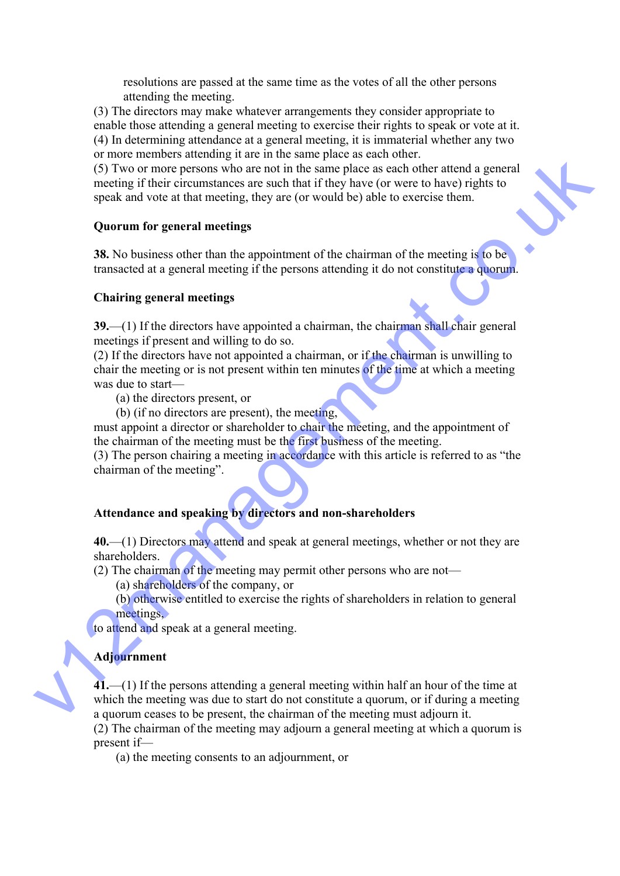resolutions are passed at the same time as the votes of all the other persons attending the meeting.

(3) The directors may make whatever arrangements they consider appropriate to enable those attending a general meeting to exercise their rights to speak or vote at it. (4) In determining attendance at a general meeting, it is immaterial whether any two or more members attending it are in the same place as each other.

(5) Two or more persons who are not in the same place as each other attend a general meeting if their circumstances are such that if they have (or were to have) rights to speak and vote at that meeting, they are (or would be) able to exercise them.

### Quorum for general meetings

38. No business other than the appointment of the chairman of the meeting is to be transacted at a general meeting if the persons attending it do not constitute a quorum.

### Chairing general meetings

39.—(1) If the directors have appointed a chairman, the chairman shall chair general meetings if present and willing to do so.

(2) If the directors have not appointed a chairman, or if the chairman is unwilling to chair the meeting or is not present within ten minutes of the time at which a meeting was due to start—

(a) the directors present, or

(b) (if no directors are present), the meeting,

must appoint a director or shareholder to chair the meeting, and the appointment of the chairman of the meeting must be the first business of the meeting.

(3) The person chairing a meeting in accordance with this article is referred to as "the chairman of the meeting".

### Attendance and speaking by directors and non-shareholders

40.—(1) Directors may attend and speak at general meetings, whether or not they are shareholders.

(2) The chairman of the meeting may permit other persons who are not—

(a) shareholders of the company, or

(b) otherwise entitled to exercise the rights of shareholders in relation to general meetings,

to attend and speak at a general meeting.

### Adjournment

41.—(1) If the persons attending a general meeting within half an hour of the time at which the meeting was due to start do not constitute a quorum, or if during a meeting a quorum ceases to be present, the chairman of the meeting must adjourn it. or more members attracting tracts in the same place as scale of the rational ageneral<br>rection Theorem terms who are not in the same place as each other attend a general<br>rection of their trieu members are such that if they

(2) The chairman of the meeting may adjourn a general meeting at which a quorum is present if—

(a) the meeting consents to an adjournment, or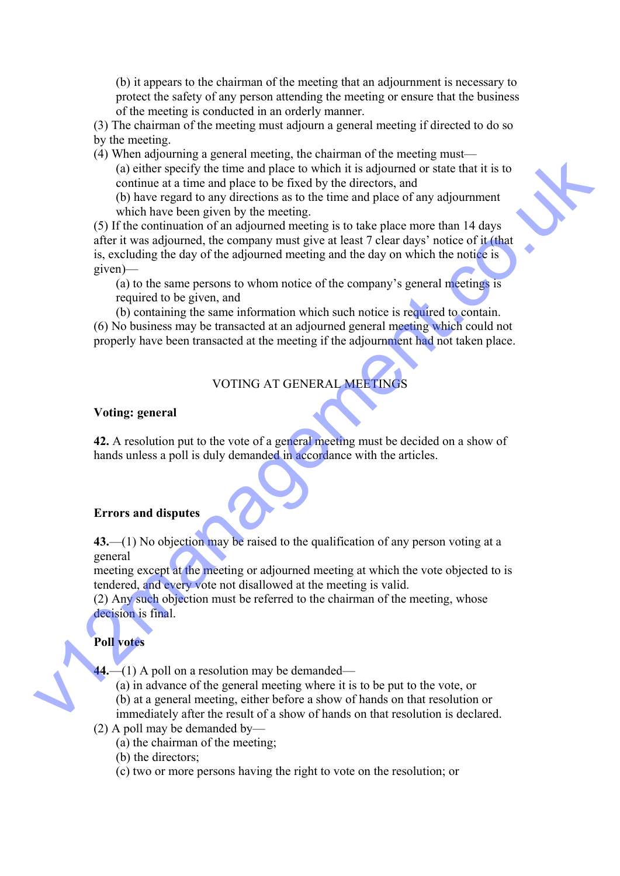(b) it appears to the chairman of the meeting that an adjournment is necessary to protect the safety of any person attending the meeting or ensure that the business of the meeting is conducted in an orderly manner.

(3) The chairman of the meeting must adjourn a general meeting if directed to do so by the meeting.

(4) When adjourning a general meeting, the chairman of the meeting must— (a) either specify the time and place to which it is adjourned or state that it is to continue at a time and place to be fixed by the directors, and (b) have regard to any directions as to the time and place of any adjournment which have been given by the meeting. (4) Which adjouncing a goarcal mectang, the chairman of the mectang num-<br>
(a) either specify the time and place to which it is adjourned or state that it is to<br>
continue at a time and place to firstelly the directors, and

(5) If the continuation of an adjourned meeting is to take place more than 14 days after it was adjourned, the company must give at least 7 clear days' notice of it (that is, excluding the day of the adjourned meeting and the day on which the notice is given)—

(a) to the same persons to whom notice of the company's general meetings is required to be given, and

(b) containing the same information which such notice is required to contain. (6) No business may be transacted at an adjourned general meeting which could not properly have been transacted at the meeting if the adjournment had not taken place.

### VOTING AT GENERAL MEETINGS

### Voting: general

42. A resolution put to the vote of a general meeting must be decided on a show of hands unless a poll is duly demanded in accordance with the articles.

### Errors and disputes

43.—(1) No objection may be raised to the qualification of any person voting at a general

meeting except at the meeting or adjourned meeting at which the vote objected to is tendered, and every vote not disallowed at the meeting is valid.

(2) Any such objection must be referred to the chairman of the meeting, whose decision is final.

### Poll votes

44.—(1) A poll on a resolution may be demanded—

(a) in advance of the general meeting where it is to be put to the vote, or (b) at a general meeting, either before a show of hands on that resolution or immediately after the result of a show of hands on that resolution is declared.

(2) A poll may be demanded by—

(a) the chairman of the meeting;

(b) the directors;

(c) two or more persons having the right to vote on the resolution; or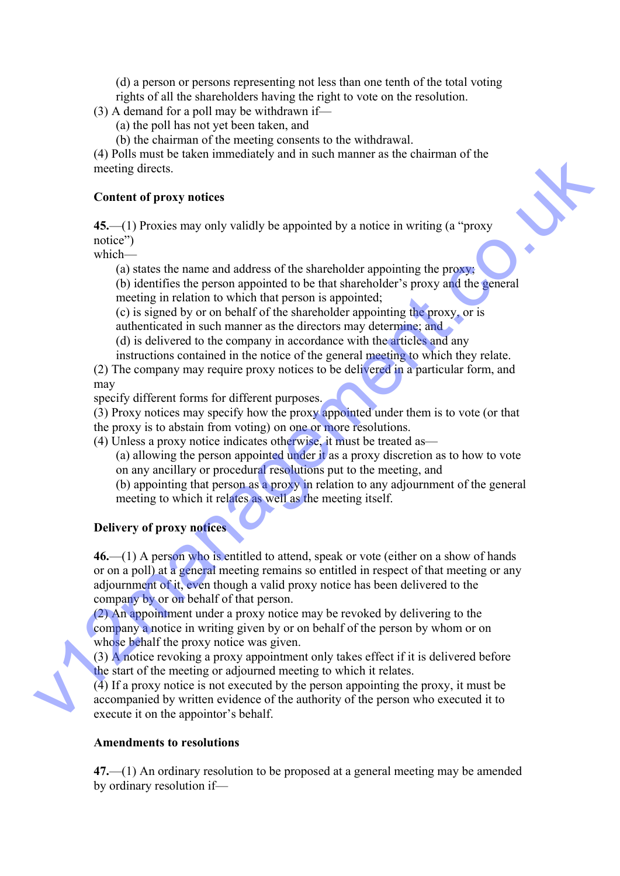(d) a person or persons representing not less than one tenth of the total voting rights of all the shareholders having the right to vote on the resolution.

(3) A demand for a poll may be withdrawn if—

(a) the poll has not yet been taken, and

(b) the chairman of the meeting consents to the withdrawal.

(4) Polls must be taken immediately and in such manner as the chairman of the meeting directs.

### Content of proxy notices

45.—(1) Proxies may only validly be appointed by a notice in writing (a "proxy notice")

which—

(a) states the name and address of the shareholder appointing the proxy;

(b) identifies the person appointed to be that shareholder's proxy and the general meeting in relation to which that person is appointed;

(c) is signed by or on behalf of the shareholder appointing the proxy, or is authenticated in such manner as the directors may determine; and

(d) is delivered to the company in accordance with the articles and any

instructions contained in the notice of the general meeting to which they relate. (2) The company may require proxy notices to be delivered in a particular form, and

may

specify different forms for different purposes.

(3) Proxy notices may specify how the proxy appointed under them is to vote (or that

the proxy is to abstain from voting) on one or more resolutions.

(4) Unless a proxy notice indicates otherwise, it must be treated as—

(a) allowing the person appointed under it as a proxy discretion as to how to vote on any ancillary or procedural resolutions put to the meeting, and

(b) appointing that person as a proxy in relation to any adjournment of the general meeting to which it relates as well as the meeting itself.

### Delivery of proxy notices

46.—(1) A person who is entitled to attend, speak or vote (either on a show of hands or on a poll) at a general meeting remains so entitled in respect of that meeting or any adjournment of it, even though a valid proxy notice has been delivered to the company by or on behalf of that person. (4) Polis must be taken immediately and in such manner as the chairman of the<br>
meeting directs.<br> **Content of proxy motices**<br> **Content of proxy motices**<br> **Content of proxy motices**<br> **Content of proxy motices**<br> **Content of** 

(2) An appointment under a proxy notice may be revoked by delivering to the company a notice in writing given by or on behalf of the person by whom or on whose behalf the proxy notice was given.

(3) A notice revoking a proxy appointment only takes effect if it is delivered before the start of the meeting or adjourned meeting to which it relates.

(4) If a proxy notice is not executed by the person appointing the proxy, it must be accompanied by written evidence of the authority of the person who executed it to execute it on the appointor's behalf.

### Amendments to resolutions

47.—(1) An ordinary resolution to be proposed at a general meeting may be amended by ordinary resolution if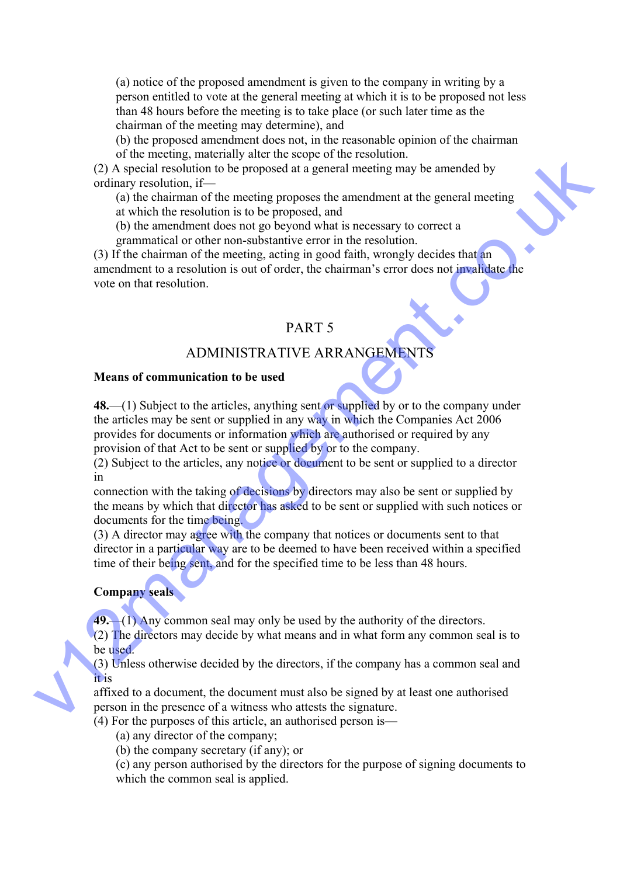(a) notice of the proposed amendment is given to the company in writing by a person entitled to vote at the general meeting at which it is to be proposed not less than 48 hours before the meeting is to take place (or such later time as the chairman of the meeting may determine), and

(b) the proposed amendment does not, in the reasonable opinion of the chairman of the meeting, materially alter the scope of the resolution.

(2) A special resolution to be proposed at a general meeting may be amended by ordinary resolution, if—

(a) the chairman of the meeting proposes the amendment at the general meeting at which the resolution is to be proposed, and

(b) the amendment does not go beyond what is necessary to correct a grammatical or other non-substantive error in the resolution.

(3) If the chairman of the meeting, acting in good faith, wrongly decides that an amendment to a resolution is out of order, the chairman's error does not invalidate the vote on that resolution.

### PART 5

### ADMINISTRATIVE ARRANGEMENTS

### Means of communication to be used

48.—(1) Subject to the articles, anything sent or supplied by or to the company under the articles may be sent or supplied in any way in which the Companies Act 2006 provides for documents or information which are authorised or required by any provision of that Act to be sent or supplied by or to the company. of the metallip anticially at the costopion of the proposed at a general meeting may be amended by<br>
columps prediction, if—<br>
(a) the chairman of the meeting proposes the amendment at the general meeting<br>
(a) the chairman

(2) Subject to the articles, any notice or document to be sent or supplied to a director in

connection with the taking of decisions by directors may also be sent or supplied by the means by which that director has asked to be sent or supplied with such notices or documents for the time being.

(3) A director may agree with the company that notices or documents sent to that director in a particular way are to be deemed to have been received within a specified time of their being sent, and for the specified time to be less than 48 hours.

### Company seals

 $49.$  (1) Any common seal may only be used by the authority of the directors.

(2) The directors may decide by what means and in what form any common seal is to be used.

(3) Unless otherwise decided by the directors, if the company has a common seal and it is

affixed to a document, the document must also be signed by at least one authorised person in the presence of a witness who attests the signature.

(4) For the purposes of this article, an authorised person is—

(a) any director of the company;

(b) the company secretary (if any); or

(c) any person authorised by the directors for the purpose of signing documents to which the common seal is applied.